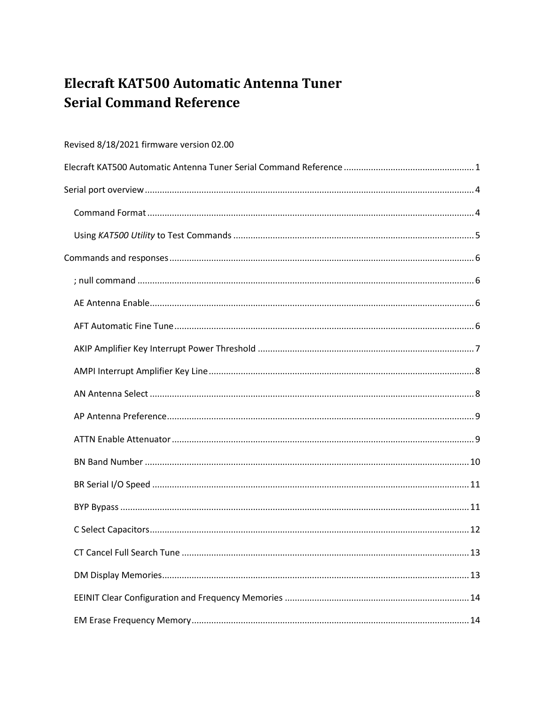# <span id="page-0-0"></span>Elecraft KAT500 Automatic Antenna Tuner **Serial Command Reference**

# Revised 8/18/2021 firmware version 02.00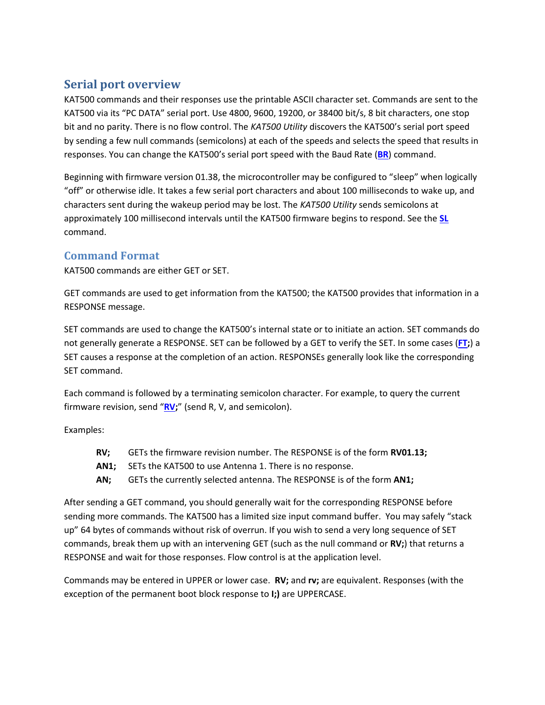# <span id="page-3-0"></span>**Serial port overview**

KAT500 commands and their responses use the printable ASCII character set. Commands are sent to the KAT500 via its "PC DATA" serial port. Use 4800, 9600, 19200, or 38400 bit/s, 8 bit characters, one stop bit and no parity. There is no flow control. The *KAT500 Utility* discovers the KAT500's serial port speed by sending a few null commands (semicolons) at each of the speeds and selects the speed that results in responses. You can change the KAT500's serial port speed with the Baud Rate (**[BR](#page-9-1)**) command.

Beginning with firmware version 01.38, the microcontroller may be configured to "sleep" when logically "off" or otherwise idle. It takes a few serial port characters and about 100 milliseconds to wake up, and characters sent during the wakeup period may be lost. The *KAT500 Utility* sends semicolons at approximately 100 millisecond intervals until the KAT500 firmware begins to respond. See the **[SL](#page-24-1)** command.

## <span id="page-3-1"></span>**Command Format**

KAT500 commands are either GET or SET.

GET commands are used to get information from the KAT500; the KAT500 provides that information in a RESPONSE message.

SET commands are used to change the KAT500's internal state or to initiate an action. SET commands do not generally generate a RESPONSE. SET can be followed by a GET to verify the SET. In some cases (**[FT;](#page-17-2)**) a SET causes a response at the completion of an action. RESPONSEs generally look like the corresponding SET command.

Each command is followed by a terminating semicolon character. For example, to query the current firmware revision, send "**[RV;](#page-23-3)**" (send R, V, and semicolon).

Examples:

- **RV;** GETs the firmware revision number. The RESPONSE is of the form **RV01.13;**
- **AN1;** SETs the KAT500 to use Antenna 1. There is no response.
- **AN;** GETs the currently selected antenna. The RESPONSE is of the form **AN1;**

After sending a GET command, you should generally wait for the corresponding RESPONSE before sending more commands. The KAT500 has a limited size input command buffer. You may safely "stack up" 64 bytes of commands without risk of overrun. If you wish to send a very long sequence of SET commands, break them up with an intervening GET (such as the null command or **RV;**) that returns a RESPONSE and wait for those responses. Flow control is at the application level.

Commands may be entered in UPPER or lower case. **RV;** and **rv;** are equivalent. Responses (with the exception of the permanent boot block response to **I;)** are UPPERCASE.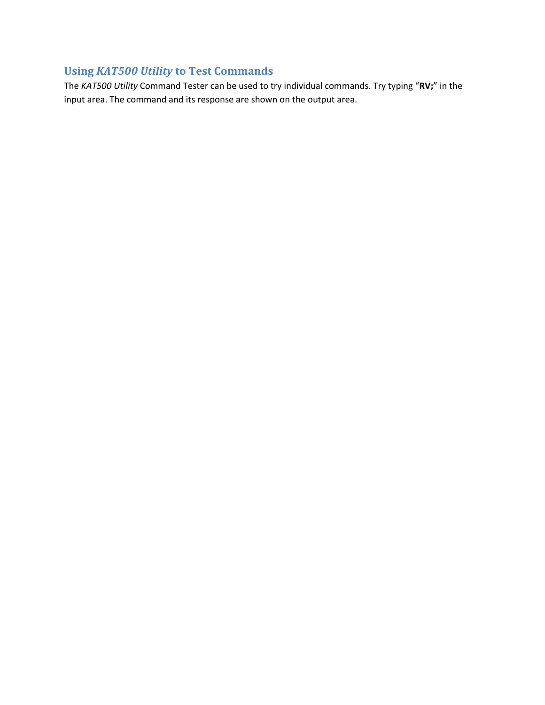# <span id="page-4-0"></span>**Using** *KAT500 Utility* **to Test Commands**

The *KAT500 Utility* Command Tester can be used to try individual commands. Try typing "**RV;**" in the input area. The command and its response are shown on the output area.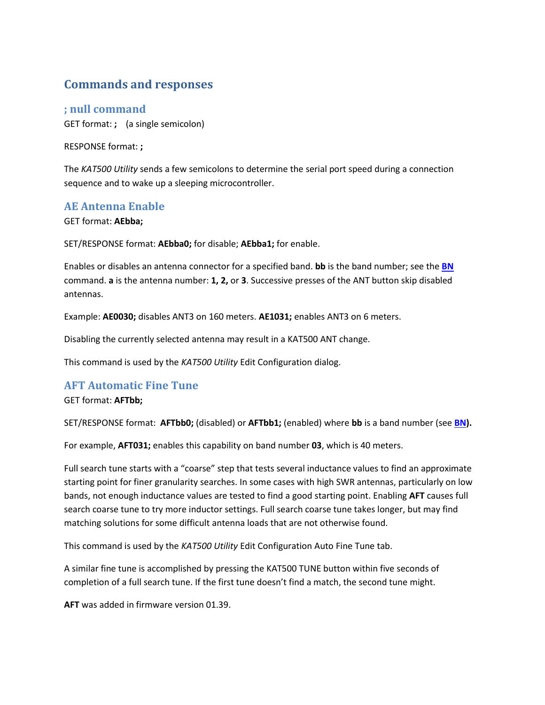# <span id="page-5-0"></span>**Commands and responses**

<span id="page-5-1"></span>**; null command** GET format: **;** (a single semicolon)

RESPONSE format: **;**

The *KAT500 Utility* sends a few semicolons to determine the serial port speed during a connection sequence and to wake up a sleeping microcontroller.

### <span id="page-5-2"></span>**AE Antenna Enable**

GET format: **AEbba;**

SET/RESPONSE format: **AEbba0;** for disable; **AEbba1;** for enable.

Enables or disables an antenna connector for a specified band. **bb** is the band number; see the **[BN](#page-8-2)** command. **a** is the antenna number: **1, 2,** or **3**. Successive presses of the ANT button skip disabled antennas.

Example: **AE0030;** disables ANT3 on 160 meters. **AE1031;** enables ANT3 on 6 meters.

Disabling the currently selected antenna may result in a KAT500 ANT change.

This command is used by the *KAT500 Utility* Edit Configuration dialog.

## <span id="page-5-3"></span>**AFT Automatic Fine Tune**

GET format: **AFTbb;**

SET/RESPONSE format: **AFTbb0;** (disabled) or **AFTbb1;** (enabled) where **bb** is a band number (see **[BN\)](#page-8-2).**

For example, **AFT031;** enables this capability on band number **03**, which is 40 meters.

Full search tune starts with a "coarse" step that tests several inductance values to find an approximate starting point for finer granularity searches. In some cases with high SWR antennas, particularly on low bands, not enough inductance values are tested to find a good starting point. Enabling **AFT** causes full search coarse tune to try more inductor settings. Full search coarse tune takes longer, but may find matching solutions for some difficult antenna loads that are not otherwise found.

This command is used by the *KAT500 Utility* Edit Configuration Auto Fine Tune tab.

A similar fine tune is accomplished by pressing the KAT500 TUNE button within five seconds of completion of a full search tune. If the first tune doesn't find a match, the second tune might.

**AFT** was added in firmware version 01.39.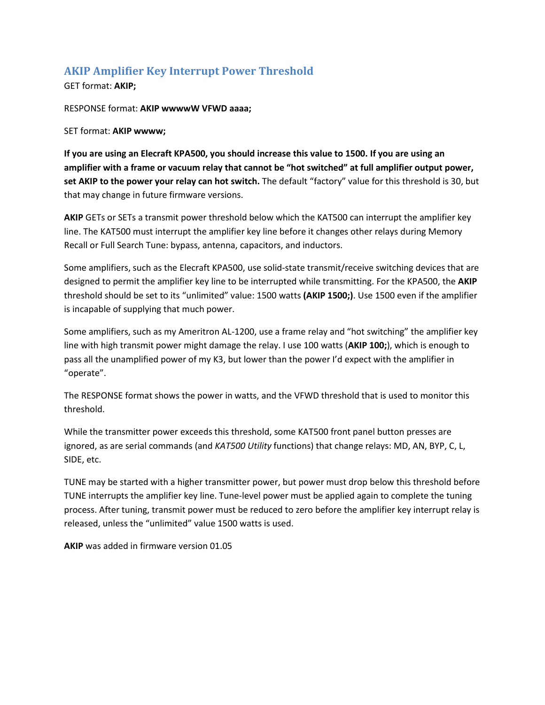# <span id="page-6-0"></span>**AKIP Amplifier Key Interrupt Power Threshold**

GET format: **AKIP;**

RESPONSE format: **AKIP wwwwW VFWD aaaa;**

SET format: **AKIP wwww;**

**If you are using an Elecraft KPA500, you should increase this value to 1500. If you are using an amplifier with a frame or vacuum relay that cannot be "hot switched" at full amplifier output power, set AKIP to the power your relay can hot switch.** The default "factory" value for this threshold is 30, but that may change in future firmware versions.

**AKIP** GETs or SETs a transmit power threshold below which the KAT500 can interrupt the amplifier key line. The KAT500 must interrupt the amplifier key line before it changes other relays during Memory Recall or Full Search Tune: bypass, antenna, capacitors, and inductors.

Some amplifiers, such as the Elecraft KPA500, use solid-state transmit/receive switching devices that are designed to permit the amplifier key line to be interrupted while transmitting. For the KPA500, the **AKIP** threshold should be set to its "unlimited" value: 1500 watts **(AKIP 1500;)**. Use 1500 even if the amplifier is incapable of supplying that much power.

Some amplifiers, such as my Ameritron AL-1200, use a frame relay and "hot switching" the amplifier key line with high transmit power might damage the relay. I use 100 watts (**AKIP 100;**), which is enough to pass all the unamplified power of my K3, but lower than the power I'd expect with the amplifier in "operate".

The RESPONSE format shows the power in watts, and the VFWD threshold that is used to monitor this threshold.

While the transmitter power exceeds this threshold, some KAT500 front panel button presses are ignored, as are serial commands (and *KAT500 Utility* functions) that change relays: MD, AN, BYP, C, L, SIDE, etc.

TUNE may be started with a higher transmitter power, but power must drop below this threshold before TUNE interrupts the amplifier key line. Tune-level power must be applied again to complete the tuning process. After tuning, transmit power must be reduced to zero before the amplifier key interrupt relay is released, unless the "unlimited" value 1500 watts is used.

**AKIP** was added in firmware version 01.05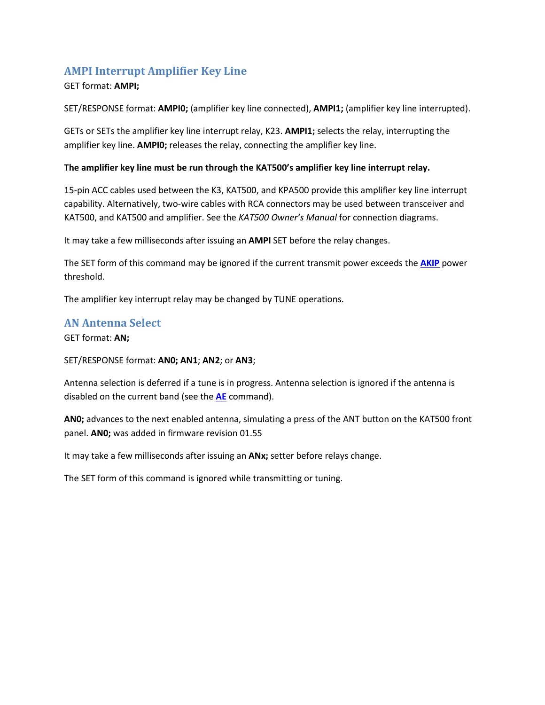# <span id="page-7-0"></span>**AMPI Interrupt Amplifier Key Line**

### GET format: **AMPI;**

SET/RESPONSE format: **AMPI0;** (amplifier key line connected), **AMPI1;** (amplifier key line interrupted).

GETs or SETs the amplifier key line interrupt relay, K23. **AMPI1;** selects the relay, interrupting the amplifier key line. **AMPI0;** releases the relay, connecting the amplifier key line.

#### **The amplifier key line must be run through the KAT500's amplifier key line interrupt relay.**

15-pin ACC cables used between the K3, KAT500, and KPA500 provide this amplifier key line interrupt capability. Alternatively, two-wire cables with RCA connectors may be used between transceiver and KAT500, and KAT500 and amplifier. See the *KAT500 Owner's Manual* for connection diagrams.

It may take a few milliseconds after issuing an **AMPI** SET before the relay changes.

The SET form of this command may be ignored if the current transmit power exceeds the **[AKIP](#page-6-0)** power threshold.

The amplifier key interrupt relay may be changed by TUNE operations.

### <span id="page-7-1"></span>**AN Antenna Select**

GET format: **AN;**

### SET/RESPONSE format: **AN0; AN1**; **AN2**; or **AN3**;

Antenna selection is deferred if a tune is in progress. Antenna selection is ignored if the antenna is disabled on the current band (see the **[AE](#page-5-2)** command).

**AN0;** advances to the next enabled antenna, simulating a press of the ANT button on the KAT500 front panel. **AN0;** was added in firmware revision 01.55

It may take a few milliseconds after issuing an **ANx;** setter before relays change.

The SET form of this command is ignored while transmitting or tuning.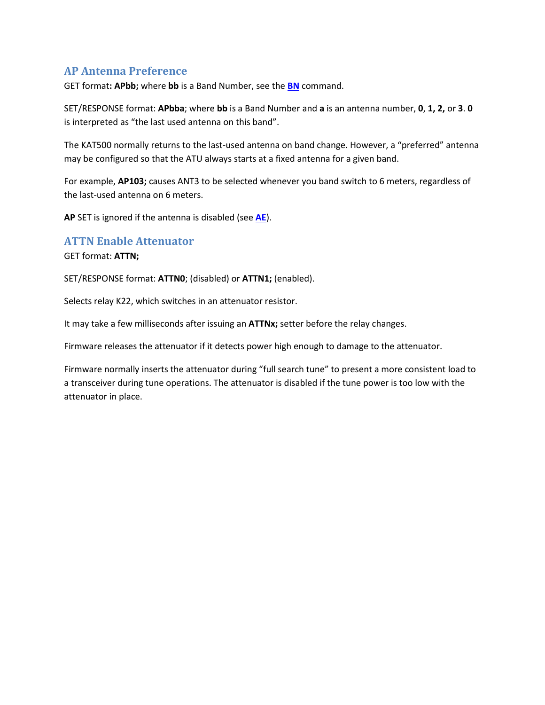## <span id="page-8-0"></span>**AP Antenna Preference**

GET format**: APbb;** where **bb** is a Band Number, see the **[BN](#page-8-2)** command.

SET/RESPONSE format: **APbba**; where **bb** is a Band Number and **a** is an antenna number, **0**, **1, 2,** or **3**. **0** is interpreted as "the last used antenna on this band".

The KAT500 normally returns to the last-used antenna on band change. However, a "preferred" antenna may be configured so that the ATU always starts at a fixed antenna for a given band.

For example, **AP103;** causes ANT3 to be selected whenever you band switch to 6 meters, regardless of the last-used antenna on 6 meters.

**AP** SET is ignored if the antenna is disabled (see **[AE](#page-5-2)**).

### <span id="page-8-1"></span>**ATTN Enable Attenuator**

GET format: **ATTN;**

SET/RESPONSE format: **ATTN0**; (disabled) or **ATTN1;** (enabled).

Selects relay K22, which switches in an attenuator resistor.

It may take a few milliseconds after issuing an **ATTNx;** setter before the relay changes.

Firmware releases the attenuator if it detects power high enough to damage to the attenuator.

<span id="page-8-2"></span>Firmware normally inserts the attenuator during "full search tune" to present a more consistent load to a transceiver during tune operations. The attenuator is disabled if the tune power is too low with the attenuator in place.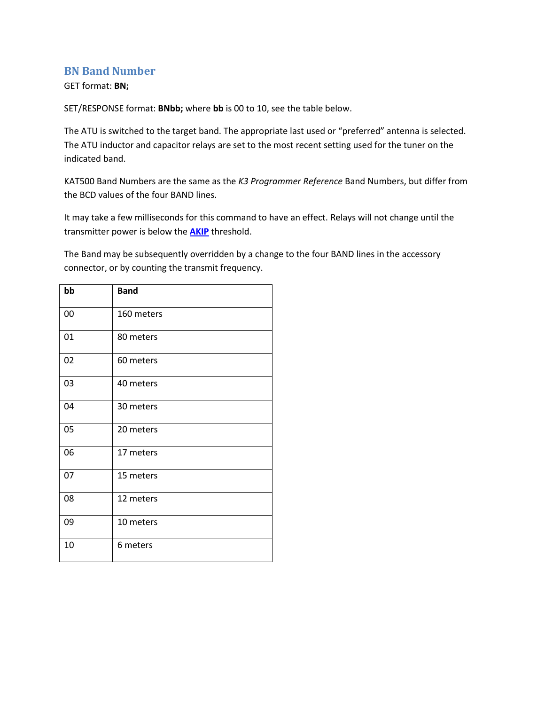### <span id="page-9-0"></span>**BN Band Number**

### GET format: **BN;**

SET/RESPONSE format: **BNbb;** where **bb** is 00 to 10, see the table below.

The ATU is switched to the target band. The appropriate last used or "preferred" antenna is selected. The ATU inductor and capacitor relays are set to the most recent setting used for the tuner on the indicated band.

KAT500 Band Numbers are the same as the *K3 Programmer Reference* Band Numbers, but differ from the BCD values of the four BAND lines.

It may take a few milliseconds for this command to have an effect. Relays will not change until the transmitter power is below the **[AKIP](#page-6-0)** threshold.

The Band may be subsequently overridden by a change to the four BAND lines in the accessory connector, or by counting the transmit frequency.

<span id="page-9-1"></span>

| bb | <b>Band</b> |
|----|-------------|
| 00 | 160 meters  |
| 01 | 80 meters   |
| 02 | 60 meters   |
| 03 | 40 meters   |
| 04 | 30 meters   |
| 05 | 20 meters   |
| 06 | 17 meters   |
| 07 | 15 meters   |
| 08 | 12 meters   |
| 09 | 10 meters   |
| 10 | 6 meters    |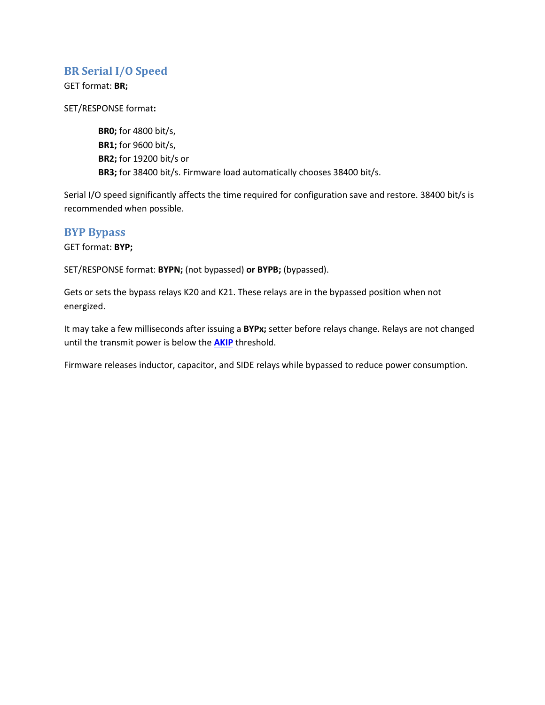## <span id="page-10-0"></span>**BR Serial I/O Speed**

GET format: **BR;**

SET/RESPONSE format**:**

**BR0;** for 4800 bit/s, **BR1;** for 9600 bit/s, **BR2;** for 19200 bit/s or **BR3;** for 38400 bit/s. Firmware load automatically chooses 38400 bit/s.

Serial I/O speed significantly affects the time required for configuration save and restore. 38400 bit/s is recommended when possible.

### <span id="page-10-1"></span>**BYP Bypass**

GET format: **BYP;**

SET/RESPONSE format: **BYPN;** (not bypassed) **or BYPB;** (bypassed).

Gets or sets the bypass relays K20 and K21. These relays are in the bypassed position when not energized.

It may take a few milliseconds after issuing a **BYPx;** setter before relays change. Relays are not changed until the transmit power is below the **[AKIP](#page-6-0)** threshold.

<span id="page-10-2"></span>Firmware releases inductor, capacitor, and SIDE relays while bypassed to reduce power consumption.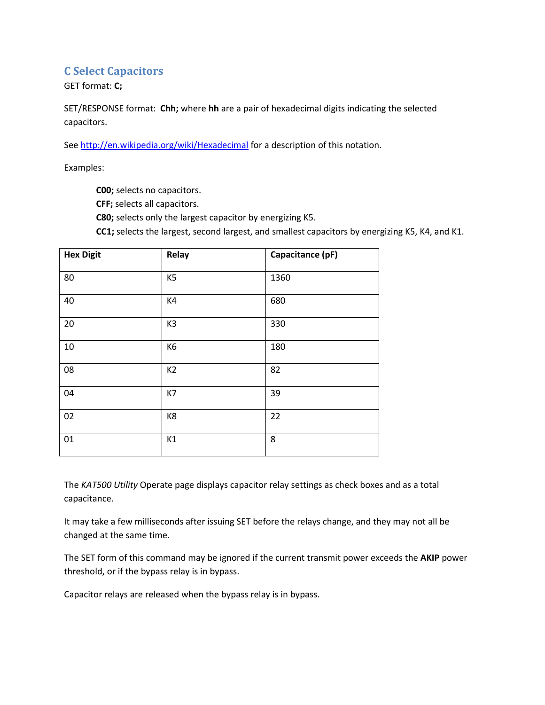## <span id="page-11-0"></span>**C Select Capacitors**

GET format: **C;**

SET/RESPONSE format: **Chh;** where **hh** are a pair of hexadecimal digits indicating the selected capacitors.

Se[e http://en.wikipedia.org/wiki/Hexadecimal](http://en.wikipedia.org/wiki/Hexadecimal) for a description of this notation.

Examples:

**C00;** selects no capacitors.

**CFF;** selects all capacitors.

**C80;** selects only the largest capacitor by energizing K5.

**CC1;** selects the largest, second largest, and smallest capacitors by energizing K5, K4, and K1.

| <b>Hex Digit</b> | Relay          | Capacitance (pF) |
|------------------|----------------|------------------|
| 80               | K <sub>5</sub> | 1360             |
| 40               | K4             | 680              |
| 20               | K <sub>3</sub> | 330              |
| $10\,$           | K <sub>6</sub> | 180              |
| 08               | K <sub>2</sub> | 82               |
| 04               | K7             | 39               |
| 02               | K8             | 22               |
| 01               | K1             | 8                |

The *KAT500 Utility* Operate page displays capacitor relay settings as check boxes and as a total capacitance.

It may take a few milliseconds after issuing SET before the relays change, and they may not all be changed at the same time.

The SET form of this command may be ignored if the current transmit power exceeds the **AKIP** power threshold, or if the bypass relay is in bypass.

Capacitor relays are released when the bypass relay is in bypass.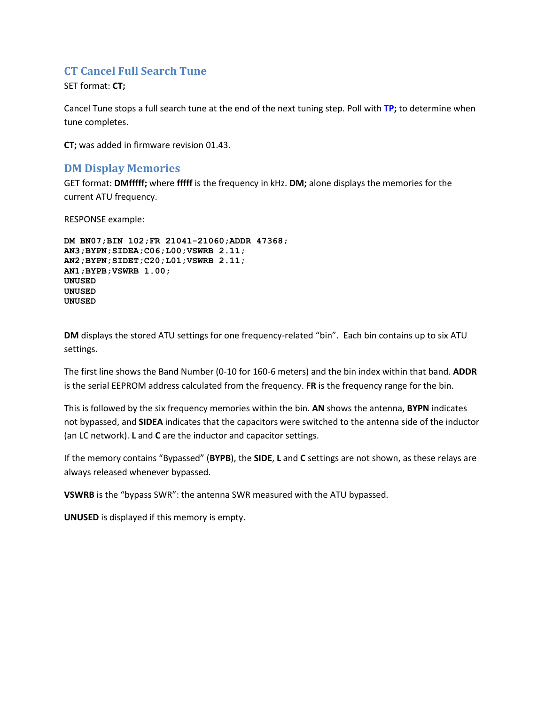## <span id="page-12-0"></span>**CT Cancel Full Search Tune**

SET format: **CT;** 

Cancel Tune stops a full search tune at the end of the next tuning step. Poll with **[TP;](#page-27-2)** to determine when tune completes.

**CT;** was added in firmware revision 01.43.

## <span id="page-12-1"></span>**DM Display Memories**

GET format: **DMfffff;** where **fffff** is the frequency in kHz. **DM;** alone displays the memories for the current ATU frequency.

RESPONSE example:

```
DM BN07;BIN 102;FR 21041-21060;ADDR 47368;
AN3;BYPN;SIDEA;C06;L00;VSWRB 2.11;
AN2;BYPN;SIDET;C20;L01;VSWRB 2.11;
AN1;BYPB;VSWRB 1.00;
UNUSED
UNUSED
UNUSED
```
**DM** displays the stored ATU settings for one frequency-related "bin". Each bin contains up to six ATU settings.

The first line shows the Band Number (0-10 for 160-6 meters) and the bin index within that band. **ADDR** is the serial EEPROM address calculated from the frequency. **FR** is the frequency range for the bin.

This is followed by the six frequency memories within the bin. **AN** shows the antenna, **BYPN** indicates not bypassed, and **SIDEA** indicates that the capacitors were switched to the antenna side of the inductor (an LC network). **L** and **C** are the inductor and capacitor settings.

If the memory contains "Bypassed" (**BYPB**), the **SIDE**, **L** and **C** settings are not shown, as these relays are always released whenever bypassed.

**VSWRB** is the "bypass SWR": the antenna SWR measured with the ATU bypassed.

**UNUSED** is displayed if this memory is empty.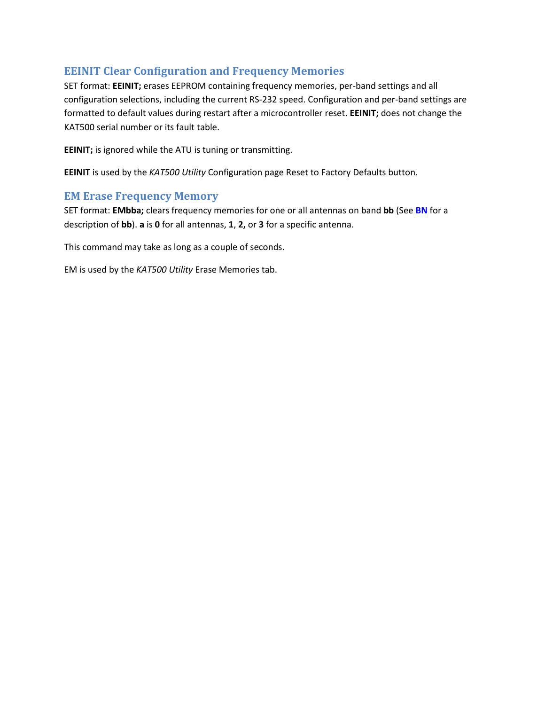# <span id="page-13-0"></span>**EEINIT Clear Configuration and Frequency Memories**

SET format: **EEINIT;** erases EEPROM containing frequency memories, per-band settings and all configuration selections, including the current RS-232 speed. Configuration and per-band settings are formatted to default values during restart after a microcontroller reset. **EEINIT;** does not change the KAT500 serial number or its fault table.

**EEINIT;** is ignored while the ATU is tuning or transmitting.

**EEINIT** is used by the *KAT500 Utility* Configuration page Reset to Factory Defaults button.

## <span id="page-13-1"></span>**EM Erase Frequency Memory**

SET format: **EMbba;** clears frequency memories for one or all antennas on band **bb** (See **[BN](#page-8-2)** for a description of **bb**). **a** is **0** for all antennas, **1**, **2,** or **3** for a specific antenna.

This command may take as long as a couple of seconds.

EM is used by the *KAT500 Utility* Erase Memories tab.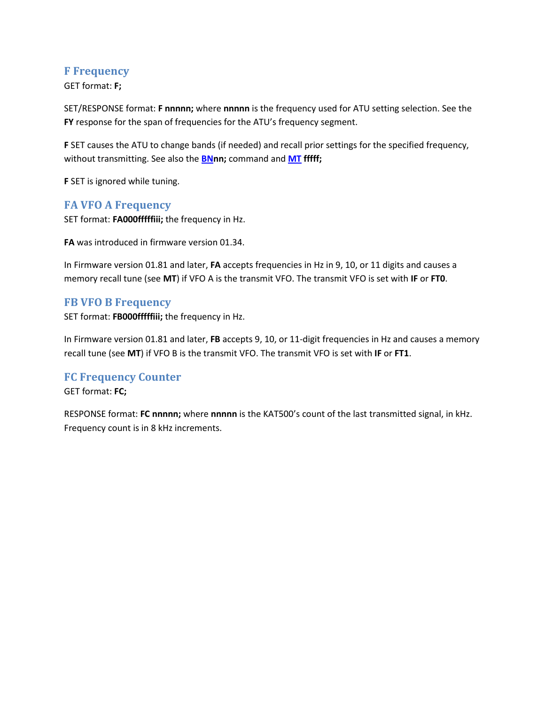## <span id="page-14-0"></span>**F Frequency**

GET format: **F;**

SET/RESPONSE format: **F nnnnn;** where **nnnnn** is the frequency used for ATU setting selection. See the **FY** response for the span of frequencies for the ATU's frequency segment.

**F** SET causes the ATU to change bands (if needed) and recall prior settings for the specified frequency, without transmitting. See also the **[BNn](#page-8-2)n;** command and **[MT](#page-21-1) fffff;** 

**F** SET is ignored while tuning.

## <span id="page-14-1"></span>**FA VFO A Frequency**

SET format: **FA000fffffiii;** the frequency in Hz.

**FA** was introduced in firmware version 01.34.

In Firmware version 01.81 and later, **FA** accepts frequencies in Hz in 9, 10, or 11 digits and causes a memory recall tune (see **MT**) if VFO A is the transmit VFO. The transmit VFO is set with **IF** or **FT0**.

## <span id="page-14-2"></span>**FB VFO B Frequency**

SET format: **FB000fffffiii;** the frequency in Hz.

In Firmware version 01.81 and later, **FB** accepts 9, 10, or 11-digit frequencies in Hz and causes a memory recall tune (see **MT**) if VFO B is the transmit VFO. The transmit VFO is set with **IF** or **FT1**.

## <span id="page-14-3"></span>**FC Frequency Counter**

GET format: **FC;**

RESPONSE format: **FC nnnnn;** where **nnnnn** is the KAT500's count of the last transmitted signal, in kHz. Frequency count is in 8 kHz increments.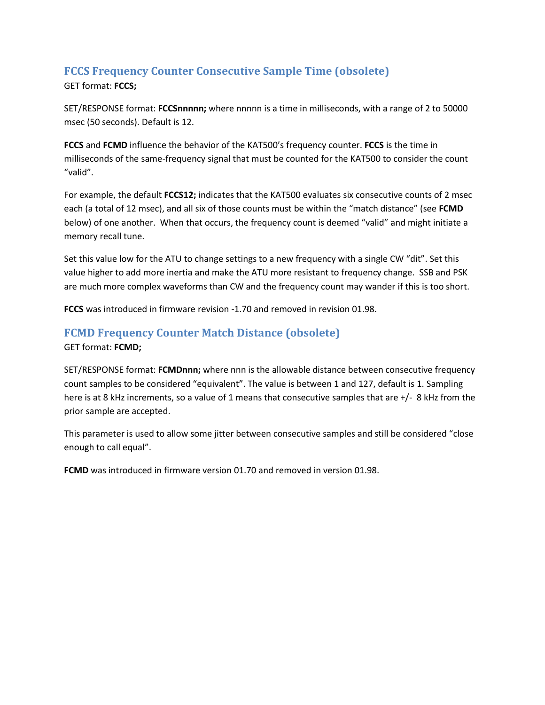# <span id="page-15-0"></span>**FCCS Frequency Counter Consecutive Sample Time (obsolete)**

GET format: **FCCS;**

SET/RESPONSE format: **FCCSnnnnn;** where nnnnn is a time in milliseconds, with a range of 2 to 50000 msec (50 seconds). Default is 12.

**FCCS** and **FCMD** influence the behavior of the KAT500's frequency counter. **FCCS** is the time in milliseconds of the same-frequency signal that must be counted for the KAT500 to consider the count "valid".

For example, the default **FCCS12;** indicates that the KAT500 evaluates six consecutive counts of 2 msec each (a total of 12 msec), and all six of those counts must be within the "match distance" (see **FCMD** below) of one another. When that occurs, the frequency count is deemed "valid" and might initiate a memory recall tune.

Set this value low for the ATU to change settings to a new frequency with a single CW "dit". Set this value higher to add more inertia and make the ATU more resistant to frequency change. SSB and PSK are much more complex waveforms than CW and the frequency count may wander if this is too short.

**FCCS** was introduced in firmware revision -1.70 and removed in revision 01.98.

# <span id="page-15-1"></span>**FCMD Frequency Counter Match Distance (obsolete)**

GET format: **FCMD;**

SET/RESPONSE format: **FCMDnnn;** where nnn is the allowable distance between consecutive frequency count samples to be considered "equivalent". The value is between 1 and 127, default is 1. Sampling here is at 8 kHz increments, so a value of 1 means that consecutive samples that are +/- 8 kHz from the prior sample are accepted.

This parameter is used to allow some jitter between consecutive samples and still be considered "close enough to call equal".

**FCMD** was introduced in firmware version 01.70 and removed in version 01.98.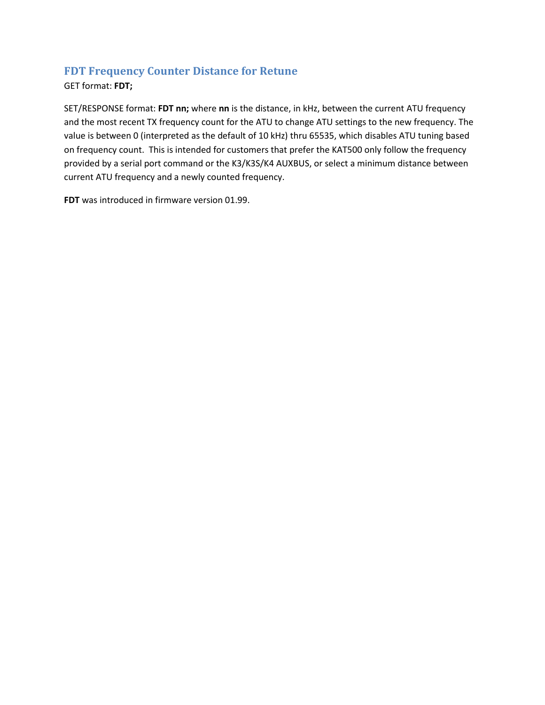# <span id="page-16-0"></span>**FDT Frequency Counter Distance for Retune**

GET format: **FDT;**

SET/RESPONSE format: **FDT nn;** where **nn** is the distance, in kHz, between the current ATU frequency and the most recent TX frequency count for the ATU to change ATU settings to the new frequency. The value is between 0 (interpreted as the default of 10 kHz) thru 65535, which disables ATU tuning based on frequency count. This is intended for customers that prefer the KAT500 only follow the frequency provided by a serial port command or the K3/K3S/K4 AUXBUS, or select a minimum distance between current ATU frequency and a newly counted frequency.

**FDT** was introduced in firmware version 01.99.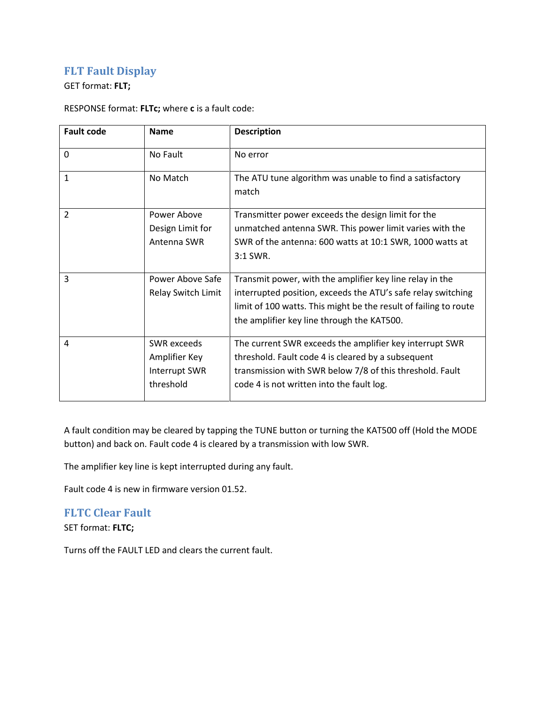# <span id="page-17-0"></span>**FLT Fault Display**

### GET format: **FLT;**

### RESPONSE format: **FLTc;** where **c** is a fault code:

| <b>Fault code</b> | <b>Name</b>                                                       | <b>Description</b>                                                                                                                                                                                                                         |
|-------------------|-------------------------------------------------------------------|--------------------------------------------------------------------------------------------------------------------------------------------------------------------------------------------------------------------------------------------|
| $\mathbf{0}$      | No Fault                                                          | No error                                                                                                                                                                                                                                   |
| $\mathbf{1}$      | No Match                                                          | The ATU tune algorithm was unable to find a satisfactory<br>match                                                                                                                                                                          |
| $\overline{2}$    | Power Above<br>Design Limit for<br>Antenna SWR                    | Transmitter power exceeds the design limit for the<br>unmatched antenna SWR. This power limit varies with the<br>SWR of the antenna: 600 watts at 10:1 SWR, 1000 watts at<br>3:1 SWR.                                                      |
| 3                 | Power Above Safe<br>Relay Switch Limit                            | Transmit power, with the amplifier key line relay in the<br>interrupted position, exceeds the ATU's safe relay switching<br>limit of 100 watts. This might be the result of failing to route<br>the amplifier key line through the KAT500. |
| 4                 | <b>SWR</b> exceeds<br>Amplifier Key<br>Interrupt SWR<br>threshold | The current SWR exceeds the amplifier key interrupt SWR<br>threshold. Fault code 4 is cleared by a subsequent<br>transmission with SWR below 7/8 of this threshold. Fault<br>code 4 is not written into the fault log.                     |

A fault condition may be cleared by tapping the TUNE button or turning the KAT500 off (Hold the MODE button) and back on. Fault code 4 is cleared by a transmission with low SWR.

The amplifier key line is kept interrupted during any fault.

Fault code 4 is new in firmware version 01.52.

# <span id="page-17-1"></span>**FLTC Clear Fault**

SET format: **FLTC;**

<span id="page-17-2"></span>Turns off the FAULT LED and clears the current fault.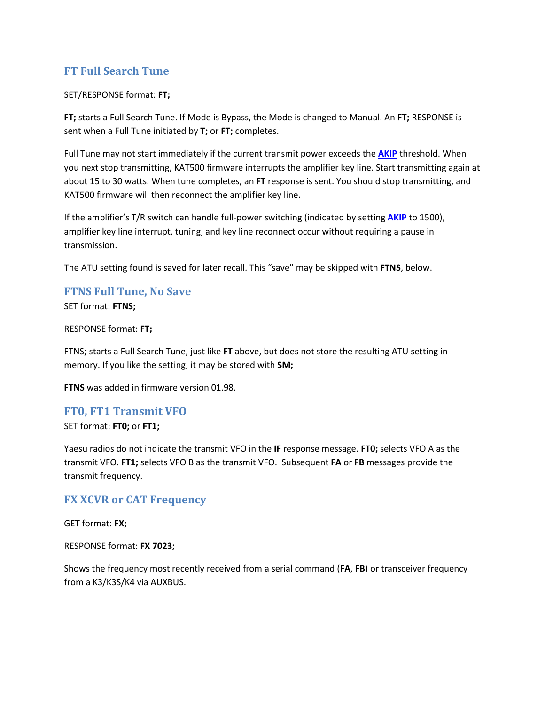# **FT Full Search Tune**

### SET/RESPONSE format: **FT;**

**FT;** starts a Full Search Tune. If Mode is Bypass, the Mode is changed to Manual. An **FT;** RESPONSE is sent when a Full Tune initiated by **T;** or **FT;** completes.

Full Tune may not start immediately if the current transmit power exceeds the **[AKIP](#page-6-0)** threshold. When you next stop transmitting, KAT500 firmware interrupts the amplifier key line. Start transmitting again at about 15 to 30 watts. When tune completes, an **FT** response is sent. You should stop transmitting, and KAT500 firmware will then reconnect the amplifier key line.

If the amplifier's T/R switch can handle full-power switching (indicated by setting **[AKIP](#page-6-0)** to 1500), amplifier key line interrupt, tuning, and key line reconnect occur without requiring a pause in transmission.

The ATU setting found is saved for later recall. This "save" may be skipped with **FTNS**, below.

# <span id="page-18-0"></span>**FTNS Full Tune, No Save**

SET format: **FTNS;**

#### RESPONSE format: **FT;**

FTNS; starts a Full Search Tune, just like **FT** above, but does not store the resulting ATU setting in memory. If you like the setting, it may be stored with **SM;**

**FTNS** was added in firmware version 01.98.

### <span id="page-18-1"></span>**FT0, FT1 Transmit VFO**

SET format: **FT0;** or **FT1;**

Yaesu radios do not indicate the transmit VFO in the **IF** response message. **FT0;** selects VFO A as the transmit VFO. **FT1;** selects VFO B as the transmit VFO. Subsequent **FA** or **FB** messages provide the transmit frequency.

## <span id="page-18-2"></span>**FX XCVR or CAT Frequency**

GET format: **FX;**

RESPONSE format: **FX 7023;**

Shows the frequency most recently received from a serial command (**FA**, **FB**) or transceiver frequency from a K3/K3S/K4 via AUXBUS.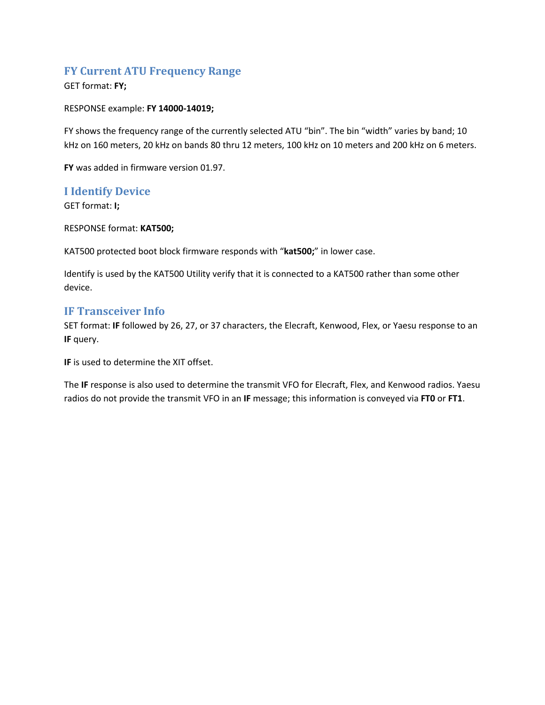## <span id="page-19-0"></span>**FY Current ATU Frequency Range**

### GET format: **FY;**

### RESPONSE example: **FY 14000-14019;**

FY shows the frequency range of the currently selected ATU "bin". The bin "width" varies by band; 10 kHz on 160 meters, 20 kHz on bands 80 thru 12 meters, 100 kHz on 10 meters and 200 kHz on 6 meters.

**FY** was added in firmware version 01.97.

## <span id="page-19-1"></span>**I Identify Device**

GET format: **I;**

RESPONSE format: **KAT500;**

KAT500 protected boot block firmware responds with "**kat500;**" in lower case.

Identify is used by the KAT500 Utility verify that it is connected to a KAT500 rather than some other device.

## <span id="page-19-2"></span>**IF Transceiver Info**

SET format: **IF** followed by 26, 27, or 37 characters, the Elecraft, Kenwood, Flex, or Yaesu response to an **IF** query.

**IF** is used to determine the XIT offset.

The **IF** response is also used to determine the transmit VFO for Elecraft, Flex, and Kenwood radios. Yaesu radios do not provide the transmit VFO in an **IF** message; this information is conveyed via **FT0** or **FT1**.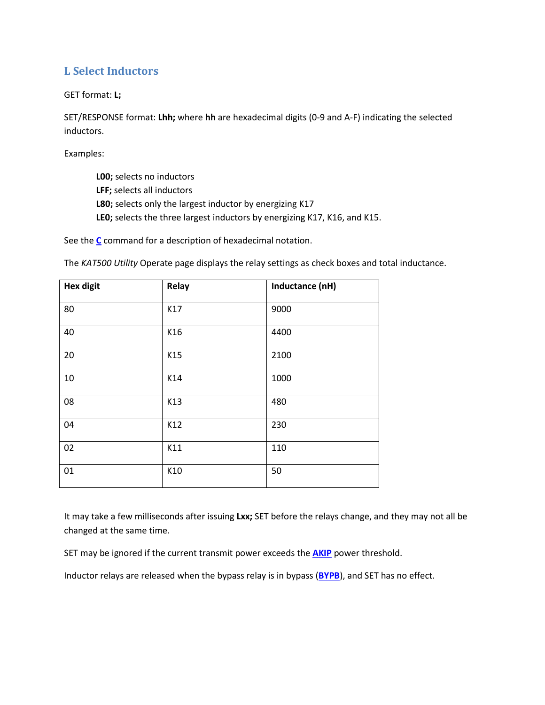# <span id="page-20-0"></span>**L Select Inductors**

GET format: **L;**

SET/RESPONSE format: **Lhh;** where **hh** are hexadecimal digits (0-9 and A-F) indicating the selected inductors.

Examples:

- **L00;** selects no inductors
- **LFF;** selects all inductors
- **L80;** selects only the largest inductor by energizing K17
- **LE0;** selects the three largest inductors by energizing K17, K16, and K15.

See the **[C](#page-10-2)** command for a description of hexadecimal notation.

The *KAT500 Utility* Operate page displays the relay settings as check boxes and total inductance.

| <b>Hex digit</b> | Relay | Inductance (nH) |
|------------------|-------|-----------------|
| 80               | K17   | 9000            |
| 40               | K16   | 4400            |
| 20               | K15   | 2100            |
| 10               | K14   | 1000            |
| 08               | K13   | 480             |
| 04               | K12   | 230             |
| 02               | K11   | 110             |
| 01               | K10   | 50              |

It may take a few milliseconds after issuing **Lxx;** SET before the relays change, and they may not all be changed at the same time.

SET may be ignored if the current transmit power exceeds the **[AKIP](#page-6-0)** power threshold.

Inductor relays are released when the bypass relay is in bypass (**[BYPB](#page-10-1)**), and SET has no effect.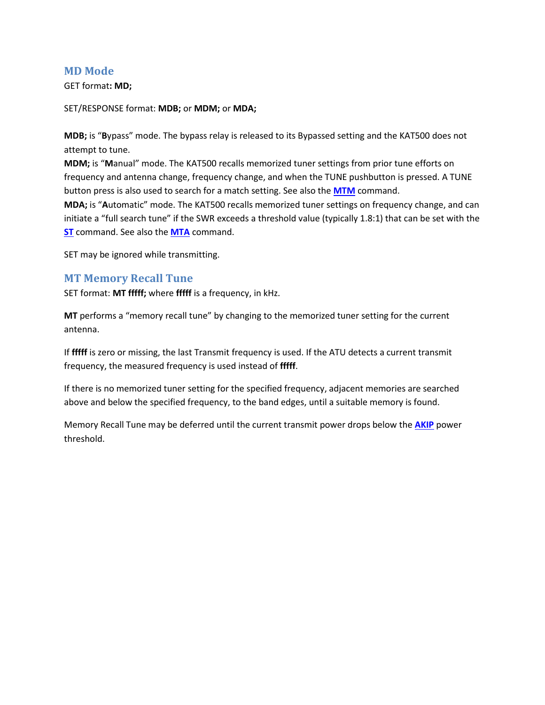### <span id="page-21-0"></span>**MD Mode**

GET format**: MD;**

SET/RESPONSE format: **MDB;** or **MDM;** or **MDA;**

**MDB;** is "**B**ypass" mode. The bypass relay is released to its Bypassed setting and the KAT500 does not attempt to tune.

**MDM;** is "**M**anual" mode. The KAT500 recalls memorized tuner settings from prior tune efforts on frequency and antenna change, frequency change, and when the TUNE pushbutton is pressed. A TUNE button press is also used to search for a match setting. See also the **[MTM](#page-22-1)** command.

**MDA;** is "**A**utomatic" mode. The KAT500 recalls memorized tuner settings on frequency change, and can initiate a "full search tune" if the SWR exceeds a threshold value (typically 1.8:1) that can be set with the **[ST](#page-26-2)** command. See also the **[MTA](#page-21-2)** command.

SET may be ignored while transmitting.

### <span id="page-21-1"></span>**MT Memory Recall Tune**

SET format: **MT fffff;** where **fffff** is a frequency, in kHz.

**MT** performs a "memory recall tune" by changing to the memorized tuner setting for the current antenna.

If **fffff** is zero or missing, the last Transmit frequency is used. If the ATU detects a current transmit frequency, the measured frequency is used instead of **fffff**.

If there is no memorized tuner setting for the specified frequency, adjacent memories are searched above and below the specified frequency, to the band edges, until a suitable memory is found.

<span id="page-21-2"></span>Memory Recall Tune may be deferred until the current transmit power drops below the **[AKIP](#page-6-0)** power threshold.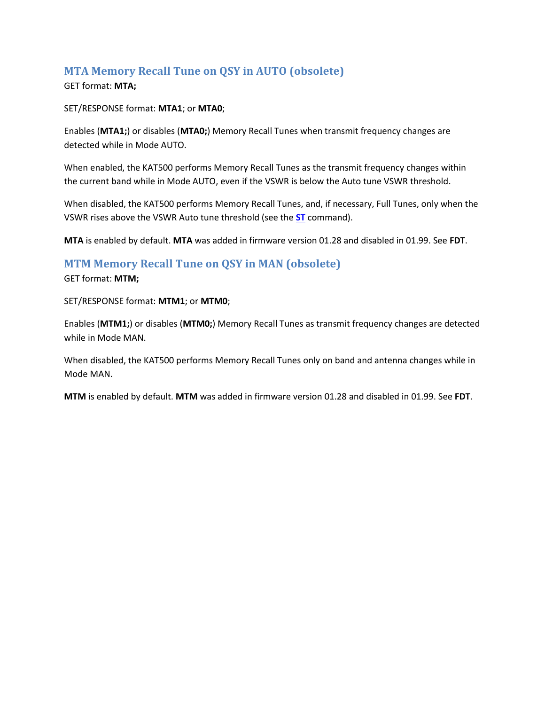# <span id="page-22-0"></span>**MTA Memory Recall Tune on QSY in AUTO (obsolete)**

### GET format: **MTA;**

SET/RESPONSE format: **MTA1**; or **MTA0**;

Enables (**MTA1;**) or disables (**MTA0;**) Memory Recall Tunes when transmit frequency changes are detected while in Mode AUTO.

When enabled, the KAT500 performs Memory Recall Tunes as the transmit frequency changes within the current band while in Mode AUTO, even if the VSWR is below the Auto tune VSWR threshold.

When disabled, the KAT500 performs Memory Recall Tunes, and, if necessary, Full Tunes, only when the VSWR rises above the VSWR Auto tune threshold (see the **[ST](#page-26-2)** command).

**MTA** is enabled by default. **MTA** was added in firmware version 01.28 and disabled in 01.99. See **FDT**.

## <span id="page-22-1"></span>**MTM Memory Recall Tune on QSY in MAN (obsolete)**

GET format: **MTM;**

SET/RESPONSE format: **MTM1**; or **MTM0**;

Enables (**MTM1;**) or disables (**MTM0;**) Memory Recall Tunes as transmit frequency changes are detected while in Mode MAN.

When disabled, the KAT500 performs Memory Recall Tunes only on band and antenna changes while in Mode MAN.

**MTM** is enabled by default. **MTM** was added in firmware version 01.28 and disabled in 01.99. See **FDT**.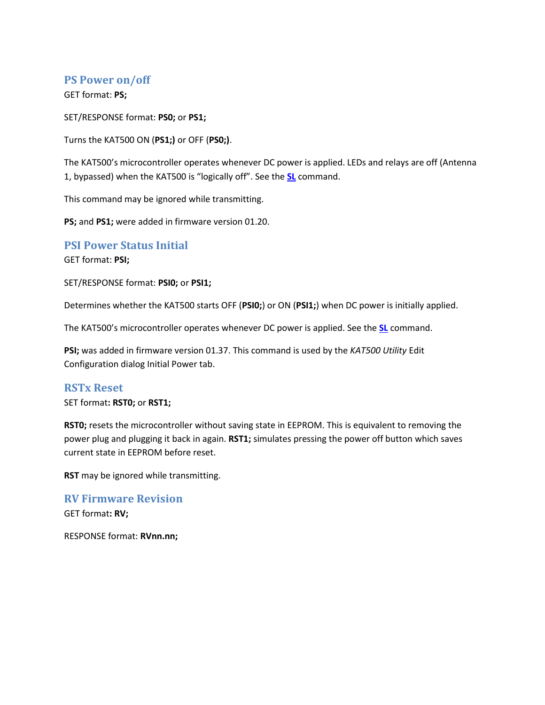# <span id="page-23-0"></span>**PS Power on/off**

GET format: **PS;**

SET/RESPONSE format: **PS0;** or **PS1;**

Turns the KAT500 ON (**PS1;)** or OFF (**PS0;)**.

The KAT500's microcontroller operates whenever DC power is applied. LEDs and relays are off (Antenna 1, bypassed) when the KAT500 is "logically off". See the **[SL](#page-24-1)** command.

This command may be ignored while transmitting.

**PS;** and **PS1;** were added in firmware version 01.20.

### <span id="page-23-1"></span>**PSI Power Status Initial**

GET format: **PSI;**

SET/RESPONSE format: **PSI0;** or **PSI1;**

Determines whether the KAT500 starts OFF (**PSI0;**) or ON (**PSI1;**) when DC power is initially applied.

The KAT500's microcontroller operates whenever DC power is applied. See the **[SL](#page-24-1)** command.

**PSI;** was added in firmware version 01.37. This command is used by the *KAT500 Utility* Edit Configuration dialog Initial Power tab.

### <span id="page-23-2"></span>**RSTx Reset**

SET format**: RST0;** or **RST1;**

**RST0;** resets the microcontroller without saving state in EEPROM. This is equivalent to removing the power plug and plugging it back in again. **RST1;** simulates pressing the power off button which saves current state in EEPROM before reset.

**RST** may be ignored while transmitting.

<span id="page-23-3"></span>**RV Firmware Revision** GET format**: RV;**

RESPONSE format: **RVnn.nn;**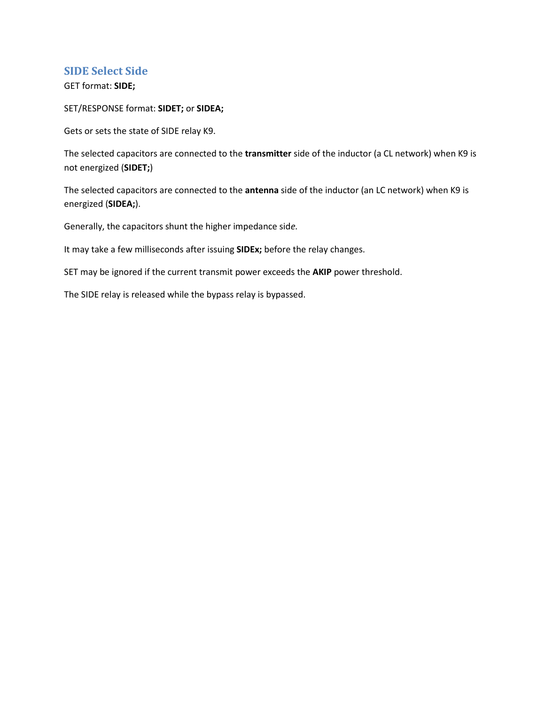## <span id="page-24-0"></span>**SIDE Select Side**

GET format: **SIDE;**

SET/RESPONSE format: **SIDET;** or **SIDEA;**

Gets or sets the state of SIDE relay K9.

The selected capacitors are connected to the **transmitter** side of the inductor (a CL network) when K9 is not energized (**SIDET;**)

The selected capacitors are connected to the **antenna** side of the inductor (an LC network) when K9 is energized (**SIDEA;**).

Generally, the capacitors shunt the higher impedance sid*e.*

It may take a few milliseconds after issuing **SIDEx;** before the relay changes.

SET may be ignored if the current transmit power exceeds the **AKIP** power threshold.

<span id="page-24-1"></span>The SIDE relay is released while the bypass relay is bypassed.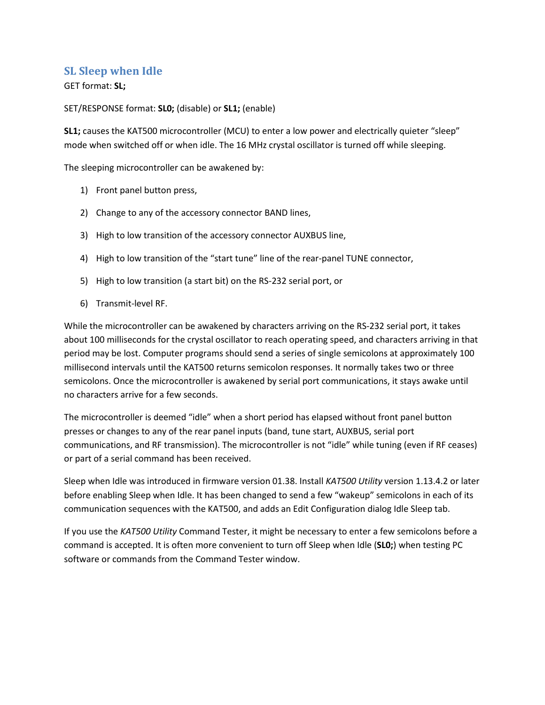## <span id="page-25-0"></span>**SL Sleep when Idle**

### GET format: **SL;**

SET/RESPONSE format: **SL0;** (disable) or **SL1;** (enable)

**SL1;** causes the KAT500 microcontroller (MCU) to enter a low power and electrically quieter "sleep" mode when switched off or when idle. The 16 MHz crystal oscillator is turned off while sleeping.

The sleeping microcontroller can be awakened by:

- 1) Front panel button press,
- 2) Change to any of the accessory connector BAND lines,
- 3) High to low transition of the accessory connector AUXBUS line,
- 4) High to low transition of the "start tune" line of the rear-panel TUNE connector,
- 5) High to low transition (a start bit) on the RS-232 serial port, or
- 6) Transmit-level RF.

While the microcontroller can be awakened by characters arriving on the RS-232 serial port, it takes about 100 milliseconds for the crystal oscillator to reach operating speed, and characters arriving in that period may be lost. Computer programs should send a series of single semicolons at approximately 100 millisecond intervals until the KAT500 returns semicolon responses. It normally takes two or three semicolons. Once the microcontroller is awakened by serial port communications, it stays awake until no characters arrive for a few seconds.

The microcontroller is deemed "idle" when a short period has elapsed without front panel button presses or changes to any of the rear panel inputs (band, tune start, AUXBUS, serial port communications, and RF transmission). The microcontroller is not "idle" while tuning (even if RF ceases) or part of a serial command has been received.

Sleep when Idle was introduced in firmware version 01.38. Install *KAT500 Utility* version 1.13.4.2 or later before enabling Sleep when Idle. It has been changed to send a few "wakeup" semicolons in each of its communication sequences with the KAT500, and adds an Edit Configuration dialog Idle Sleep tab.

If you use the *KAT500 Utility* Command Tester, it might be necessary to enter a few semicolons before a command is accepted. It is often more convenient to turn off Sleep when Idle (**SL0;**) when testing PC software or commands from the Command Tester window.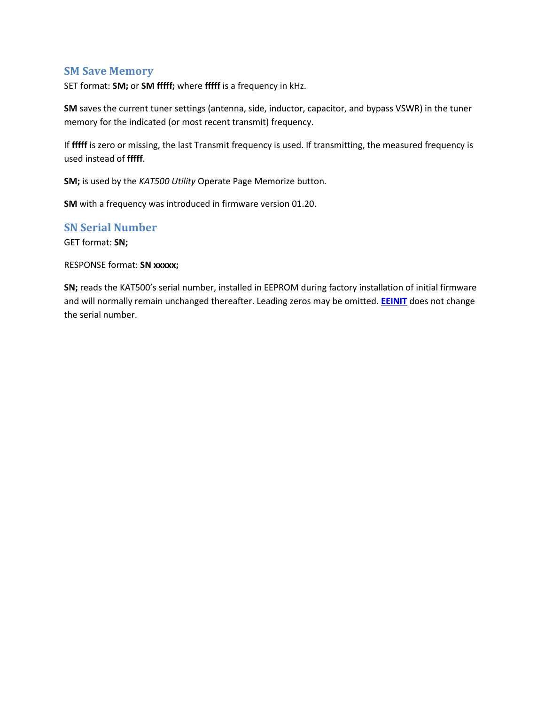### <span id="page-26-0"></span>**SM Save Memory**

SET format: **SM;** or **SM fffff;** where **fffff** is a frequency in kHz.

**SM** saves the current tuner settings (antenna, side, inductor, capacitor, and bypass VSWR) in the tuner memory for the indicated (or most recent transmit) frequency.

If **fffff** is zero or missing, the last Transmit frequency is used. If transmitting, the measured frequency is used instead of **fffff**.

**SM;** is used by the *KAT500 Utility* Operate Page Memorize button.

**SM** with a frequency was introduced in firmware version 01.20.

### <span id="page-26-1"></span>**SN Serial Number**

GET format: **SN;**

#### RESPONSE format: **SN xxxxx;**

<span id="page-26-2"></span>**SN;** reads the KAT500's serial number, installed in EEPROM during factory installation of initial firmware and will normally remain unchanged thereafter. Leading zeros may be omitted. **[EEINIT](#page-12-1)** does not change the serial number.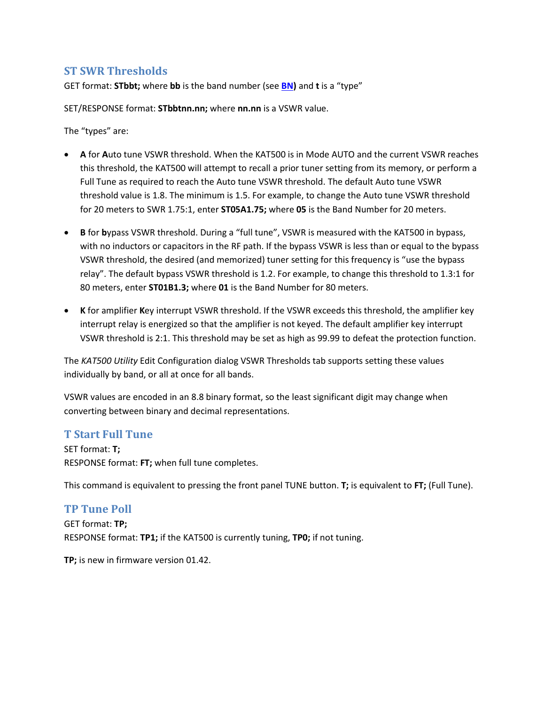## <span id="page-27-0"></span>**ST SWR Thresholds**

GET format: **STbbt;** where **bb** is the band number (see **[BN\)](#page-8-2)** and **t** is a "type"

SET/RESPONSE format: **STbbtnn.nn;** where **nn.nn** is a VSWR value.

The "types" are:

- **A** for **A**uto tune VSWR threshold. When the KAT500 is in Mode AUTO and the current VSWR reaches this threshold, the KAT500 will attempt to recall a prior tuner setting from its memory, or perform a Full Tune as required to reach the Auto tune VSWR threshold. The default Auto tune VSWR threshold value is 1.8. The minimum is 1.5. For example, to change the Auto tune VSWR threshold for 20 meters to SWR 1.75:1, enter **ST05A1.75;** where **05** is the Band Number for 20 meters.
- **B** for **b**ypass VSWR threshold. During a "full tune", VSWR is measured with the KAT500 in bypass, with no inductors or capacitors in the RF path. If the bypass VSWR is less than or equal to the bypass VSWR threshold, the desired (and memorized) tuner setting for this frequency is "use the bypass relay". The default bypass VSWR threshold is 1.2. For example, to change this threshold to 1.3:1 for 80 meters, enter **ST01B1.3;** where **01** is the Band Number for 80 meters.
- **K** for amplifier **K**ey interrupt VSWR threshold. If the VSWR exceeds this threshold, the amplifier key interrupt relay is energized so that the amplifier is not keyed. The default amplifier key interrupt VSWR threshold is 2:1. This threshold may be set as high as 99.99 to defeat the protection function.

The *KAT500 Utility* Edit Configuration dialog VSWR Thresholds tab supports setting these values individually by band, or all at once for all bands.

VSWR values are encoded in an 8.8 binary format, so the least significant digit may change when converting between binary and decimal representations.

## <span id="page-27-1"></span>**T Start Full Tune**

SET format: **T;** RESPONSE format: **FT;** when full tune completes.

This command is equivalent to pressing the front panel TUNE button. **T;** is equivalent to **FT;** (Full Tune).

## <span id="page-27-2"></span>**TP Tune Poll** GET format: **TP;** RESPONSE format: **TP1;** if the KAT500 is currently tuning, **TP0;** if not tuning.

**TP;** is new in firmware version 01.42.